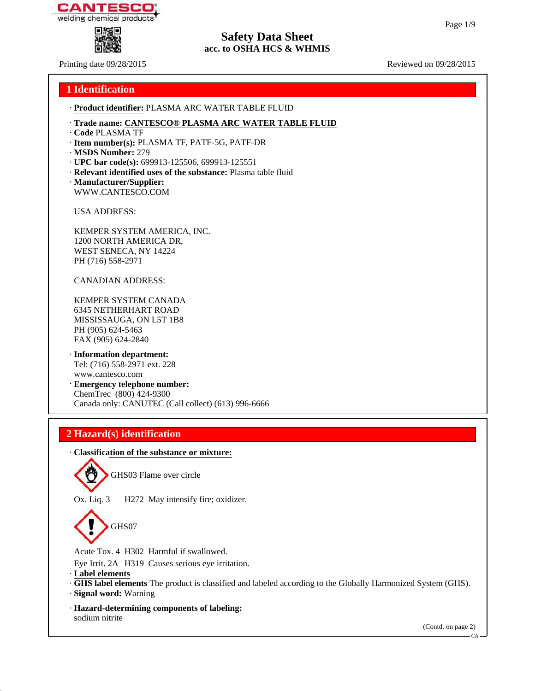



Printing date 09/28/2015 Reviewed on 09/28/2015

| 1 Identification                                                                                                                          |
|-------------------------------------------------------------------------------------------------------------------------------------------|
| · Product identifier: PLASMA ARC WATER TABLE FLUID                                                                                        |
| · Trade name: CANTESCO® PLASMA ARC WATER TABLE FLUID<br>· Code PLASMA TF                                                                  |
| · Item number(s): PLASMA TF, PATF-5G, PATF-DR<br>· MSDS Number: 279                                                                       |
| · UPC bar code(s): 699913-125506, 699913-125551<br>· Relevant identified uses of the substance: Plasma table fluid                        |
| · Manufacturer/Supplier:<br>WWW.CANTESCO.COM                                                                                              |
| <b>USA ADDRESS:</b>                                                                                                                       |
| KEMPER SYSTEM AMERICA, INC.<br>1200 NORTH AMERICA DR,<br>WEST SENECA, NY 14224<br>PH (716) 558-2971                                       |
| <b>CANADIAN ADDRESS:</b>                                                                                                                  |
| KEMPER SYSTEM CANADA<br><b>6345 NETHERHART ROAD</b><br>MISSISSAUGA, ON L5T 1B8<br>PH (905) 624-5463<br>FAX (905) 624-2840                 |
| · Information department:<br>Tel: (716) 558-2971 ext. 228<br>www.cantesco.com<br>· Emergency telephone number:<br>ChemTrec (800) 424-9300 |
| Canada only: CANUTEC (Call collect) (613) 996-6666                                                                                        |
| 2 Hazard(s) identification                                                                                                                |
| · Classification of the substance or mixture:                                                                                             |
| $\sum_{i=1}^{n}$<br>GHS03 Flame over circle                                                                                               |
| Ox. Liq. 3<br>H272 May intensify fire; oxidizer.<br>GHS07                                                                                 |
| Acute Tox. 4 H302 Harmful if swallowed.                                                                                                   |
| Eye Irrit. 2A H319 Causes serious eye irritation.<br>· Label elements                                                                     |

· **GHS label elements** The product is classified and labeled according to the Globally Harmonized System (GHS).

· **Signal word:** Warning

· **Hazard-determining components of labeling:** sodium nitrite

(Contd. on page 2)

CA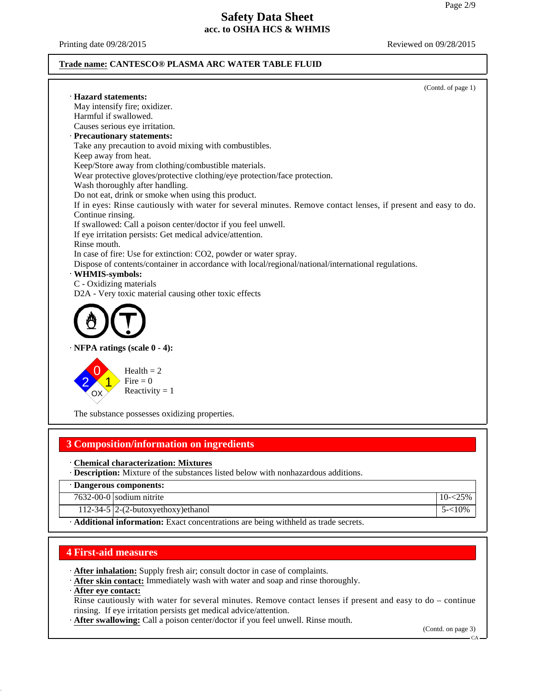Printing date 09/28/2015 **Reviewed on 09/28/2015** Reviewed on 09/28/2015

#### **Trade name: CANTESCO® PLASMA ARC WATER TABLE FLUID**

(Contd. of page 1) · **Hazard statements:** May intensify fire; oxidizer. Harmful if swallowed. Causes serious eye irritation. · **Precautionary statements:** Take any precaution to avoid mixing with combustibles. Keep away from heat. Keep/Store away from clothing/combustible materials. Wear protective gloves/protective clothing/eye protection/face protection. Wash thoroughly after handling. Do not eat, drink or smoke when using this product. If in eyes: Rinse cautiously with water for several minutes. Remove contact lenses, if present and easy to do. Continue rinsing. If swallowed: Call a poison center/doctor if you feel unwell. If eye irritation persists: Get medical advice/attention. Rinse mouth. In case of fire: Use for extinction: CO2, powder or water spray. Dispose of contents/container in accordance with local/regional/national/international regulations. · **WHMIS-symbols:** C - Oxidizing materials D2A - Very toxic material causing other toxic effects · **NFPA ratings (scale 0 - 4):** 2 0 1 OX Health  $= 2$  $Fire = 0$ Reactivity  $= 1$ 

The substance possesses oxidizing properties.

# **3 Composition/information on ingredients**

· **Chemical characterization: Mixtures**

· **Description:** Mixture of the substances listed below with nonhazardous additions.

· **Dangerous components:**

|                   | $7632-00-0$ sodium nitrite                  |                      |
|-------------------|---------------------------------------------|----------------------|
|                   | 112-34-5 $\left 2-(2-butoxyethoxy)e$ thanol | .10%<br>$\mathbf{r}$ |
| $\cdots$ $\cdots$ | .<br>.<br>$\cdot$ .<br>$\sim$               |                      |

· **Additional information:** Exact concentrations are being withheld as trade secrets.

## **4 First-aid measures**

· **After inhalation:** Supply fresh air; consult doctor in case of complaints.

· **After skin contact:** Immediately wash with water and soap and rinse thoroughly.

### · **After eye contact:**

Rinse cautiously with water for several minutes. Remove contact lenses if present and easy to do – continue rinsing. If eye irritation persists get medical advice/attention.

· **After swallowing:** Call a poison center/doctor if you feel unwell. Rinse mouth.

(Contd. on page 3)

CA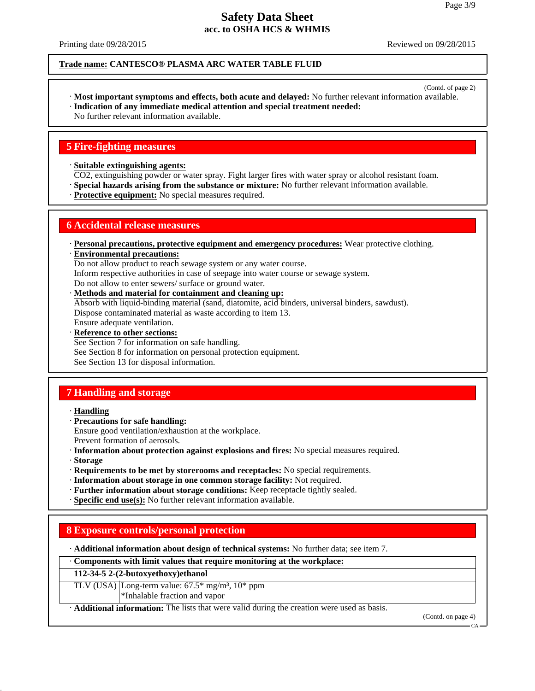Printing date 09/28/2015 **Reviewed on 09/28/2015** Reviewed on 09/28/2015

#### **Trade name: CANTESCO® PLASMA ARC WATER TABLE FLUID**

(Contd. of page 2)

- · **Most important symptoms and effects, both acute and delayed:** No further relevant information available. · **Indication of any immediate medical attention and special treatment needed:**
- No further relevant information available.

## **5 Fire-fighting measures**

· **Suitable extinguishing agents:**

CO2, extinguishing powder or water spray. Fight larger fires with water spray or alcohol resistant foam.

· **Special hazards arising from the substance or mixture:** No further relevant information available.

· **Protective equipment:** No special measures required.

## **6 Accidental release measures**

· **Personal precautions, protective equipment and emergency procedures:** Wear protective clothing.

· **Environmental precautions:**

Do not allow product to reach sewage system or any water course.

Inform respective authorities in case of seepage into water course or sewage system.

Do not allow to enter sewers/ surface or ground water.

- · **Methods and material for containment and cleaning up:** Absorb with liquid-binding material (sand, diatomite, acid binders, universal binders, sawdust). Dispose contaminated material as waste according to item 13. Ensure adequate ventilation.
- · **Reference to other sections:** See Section 7 for information on safe handling.

See Section 8 for information on personal protection equipment.

See Section 13 for disposal information.

# **7 Handling and storage**

· **Handling**

· **Precautions for safe handling:**

Ensure good ventilation/exhaustion at the workplace.

Prevent formation of aerosols.

- · **Information about protection against explosions and fires:** No special measures required. · **Storage**
- · **Requirements to be met by storerooms and receptacles:** No special requirements.
- · **Information about storage in one common storage facility:** Not required.
- · **Further information about storage conditions:** Keep receptacle tightly sealed.

· **Specific end use(s):** No further relevant information available.

# **8 Exposure controls/personal protection**

· **Additional information about design of technical systems:** No further data; see item 7.

· **Components with limit values that require monitoring at the workplace:**

**112-34-5 2-(2-butoxyethoxy)ethanol**

TLV (USA) Long-term value:  $67.5*$  mg/m<sup>3</sup>,  $10*$  ppm \*Inhalable fraction and vapor

· **Additional information:** The lists that were valid during the creation were used as basis.

(Contd. on page 4)

CA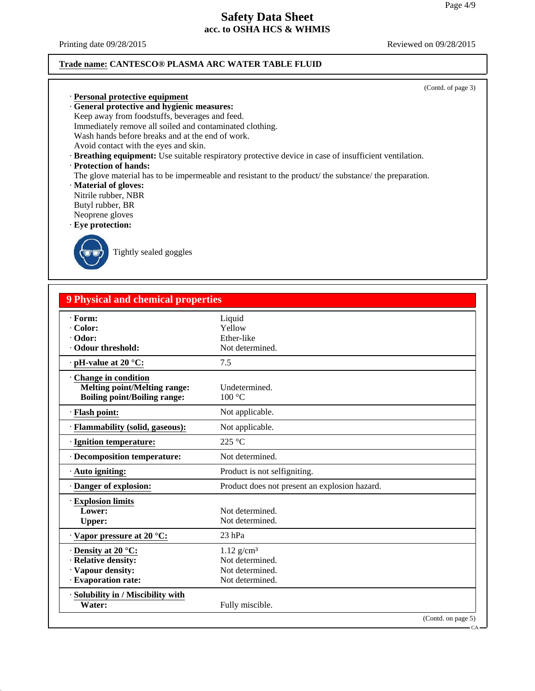Printing date 09/28/2015 Reviewed on 09/28/2015

#### **Trade name: CANTESCO® PLASMA ARC WATER TABLE FLUID**

(Contd. of page 3)

· **Personal protective equipment** · **General protective and hygienic measures:** Keep away from foodstuffs, beverages and feed. Immediately remove all soiled and contaminated clothing. Wash hands before breaks and at the end of work. Avoid contact with the eyes and skin.

· **Breathing equipment:** Use suitable respiratory protective device in case of insufficient ventilation.

· **Protection of hands:**

The glove material has to be impermeable and resistant to the product/ the substance/ the preparation.

· **Material of gloves:**

Nitrile rubber, NBR

Butyl rubber, BR

Neoprene gloves

· **Eye protection:**



Tightly sealed goggles

# **9 Physical and chemical properties**

| · Form:                                      | Liquid                                        |
|----------------------------------------------|-----------------------------------------------|
| · Color:                                     | Yellow                                        |
| · Odor:                                      | Ether-like                                    |
| Odour threshold:                             | Not determined.                               |
| $\cdot$ pH-value at 20 °C:                   | 7.5                                           |
| <b>Change in condition</b>                   |                                               |
| <b>Melting point/Melting range:</b>          | Undetermined.                                 |
| <b>Boiling point/Boiling range:</b>          | 100 °C                                        |
| · Flash point:                               | Not applicable.                               |
| · Flammability (solid, gaseous):             | Not applicable.                               |
| · Ignition temperature:                      | 225 °C                                        |
| · Decomposition temperature:                 | Not determined.                               |
| $\cdot$ Auto igniting:                       | Product is not selfigniting.                  |
|                                              | Product does not present an explosion hazard. |
| · Danger of explosion:                       |                                               |
| · Explosion limits                           |                                               |
| Lower:                                       | Not determined.                               |
| <b>Upper:</b>                                | Not determined.                               |
| · Vapor pressure at 20 °C:                   | $23$ hPa                                      |
| $\cdot$ Density at 20 °C:                    | $1.12$ g/cm <sup>3</sup>                      |
| · Relative density:                          | Not determined.                               |
|                                              | Not determined.                               |
| · Vapour density:<br>· Evaporation rate:     | Not determined.                               |
|                                              |                                               |
| · Solubility in / Miscibility with<br>Water: | Fully miscible.                               |

 $\sim$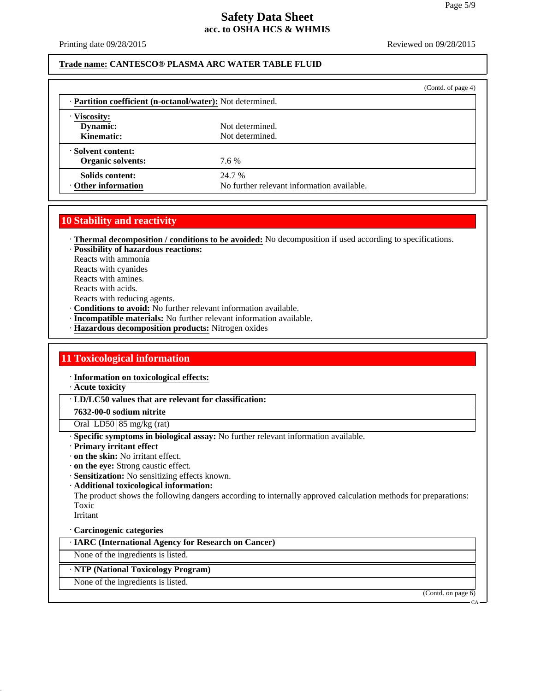Printing date 09/28/2015 **Reviewed on 09/28/2015** Reviewed on 09/28/2015

#### **Trade name: CANTESCO® PLASMA ARC WATER TABLE FLUID**

|                                                            | (Contd. of page 4) |  |  |  |
|------------------------------------------------------------|--------------------|--|--|--|
| · Partition coefficient (n-octanol/water): Not determined. |                    |  |  |  |
|                                                            |                    |  |  |  |
| Not determined.                                            |                    |  |  |  |
| Not determined.                                            |                    |  |  |  |
|                                                            |                    |  |  |  |
| 7.6 %                                                      |                    |  |  |  |
| 24.7 %                                                     |                    |  |  |  |
| No further relevant information available.                 |                    |  |  |  |
|                                                            |                    |  |  |  |

## **10 Stability and reactivity**

· **Thermal decomposition / conditions to be avoided:** No decomposition if used according to specifications.

· **Possibility of hazardous reactions:** Reacts with ammonia

Reacts with cyanides

Reacts with amines.

Reacts with acids.

Reacts with reducing agents.

- · **Conditions to avoid:** No further relevant information available.
- · **Incompatible materials:** No further relevant information available.
- · **Hazardous decomposition products:** Nitrogen oxides

# **11 Toxicological information**

· **Information on toxicological effects:**

· **Acute toxicity**

· **LD/LC50 values that are relevant for classification:**

### **7632-00-0 sodium nitrite**

Oral LD50 85 mg/kg (rat)

· **Specific symptoms in biological assay:** No further relevant information available.

· **Primary irritant effect**

- · **on the skin:** No irritant effect.
- · **on the eye:** Strong caustic effect.
- · **Sensitization:** No sensitizing effects known.
- · **Additional toxicological information:**

The product shows the following dangers according to internally approved calculation methods for preparations: Toxic

Irritant

### · **Carcinogenic categories**

· **IARC (International Agency for Research on Cancer)**

None of the ingredients is listed.

### · **NTP (National Toxicology Program)**

None of the ingredients is listed.

(Contd. on page 6)

CA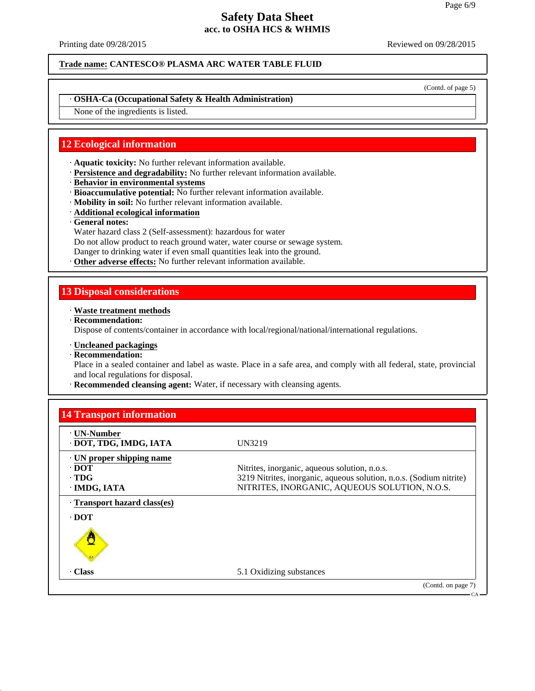Printing date 09/28/2015 **Reviewed on 09/28/2015** Reviewed on 09/28/2015

**Trade name: CANTESCO® PLASMA ARC WATER TABLE FLUID**

(Contd. of page 5)

### · **OSHA-Ca (Occupational Safety & Health Administration)**

None of the ingredients is listed.

## **12 Ecological information**

- · **Aquatic toxicity:** No further relevant information available.
- · **Persistence and degradability:** No further relevant information available.
- · **Behavior in environmental systems**
- · **Bioaccumulative potential:** No further relevant information available.
- · **Mobility in soil:** No further relevant information available.
- · **Additional ecological information**
- · **General notes:**
- Water hazard class 2 (Self-assessment): hazardous for water
- Do not allow product to reach ground water, water course or sewage system.
- Danger to drinking water if even small quantities leak into the ground.
- · **Other adverse effects:** No further relevant information available.

### **13 Disposal considerations**

#### · **Waste treatment methods**

· **Recommendation:**

Dispose of contents/container in accordance with local/regional/national/international regulations.

### · **Uncleaned packagings**

· **Recommendation:**

Place in a sealed container and label as waste. Place in a safe area, and comply with all federal, state, provincial and local regulations for disposal.

· **Recommended cleansing agent:** Water, if necessary with cleansing agents.

| <b>14 Transport information</b>                                   |                                                                                                                                                                       |
|-------------------------------------------------------------------|-----------------------------------------------------------------------------------------------------------------------------------------------------------------------|
| ⋅ UN-Number<br>· DOT, TDG, IMDG, IATA                             | UN3219                                                                                                                                                                |
| · UN proper shipping name<br>· DOT<br>$\cdot$ TDG<br>· IMDG, IATA | Nitrites, inorganic, aqueous solution, n.o.s.<br>3219 Nitrites, inorganic, aqueous solution, n.o.s. (Sodium nitrite)<br>NITRITES, INORGANIC, AQUEOUS SOLUTION, N.O.S. |
| Transport hazard class(es)<br>· DOT                               |                                                                                                                                                                       |
| O                                                                 |                                                                                                                                                                       |
| · Class                                                           | 5.1 Oxidizing substances                                                                                                                                              |
|                                                                   | (Contd. on page 7)<br>– CA –                                                                                                                                          |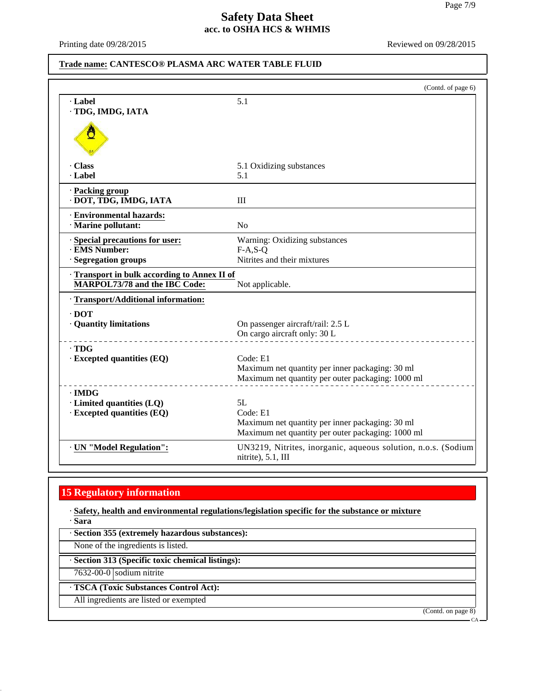Printing date 09/28/2015 Reviewed on 09/28/2015

### **Trade name: CANTESCO® PLASMA ARC WATER TABLE FLUID**

| · Label                                                       | 5.1                                                                                 |
|---------------------------------------------------------------|-------------------------------------------------------------------------------------|
|                                                               |                                                                                     |
| · TDG, IMDG, IATA                                             |                                                                                     |
| Ő                                                             |                                                                                     |
| · Class                                                       | 5.1 Oxidizing substances                                                            |
| · Label                                                       | 5.1                                                                                 |
| · Packing group                                               |                                                                                     |
| · DOT, TDG, IMDG, IATA                                        | III                                                                                 |
| · Environmental hazards:                                      |                                                                                     |
| · Marine pollutant:                                           | N <sub>o</sub>                                                                      |
| · Special precautions for user:                               | Warning: Oxidizing substances                                                       |
| · EMS Number:                                                 | $F-A, S-Q$                                                                          |
| · Segregation groups                                          | Nitrites and their mixtures                                                         |
| Transport in bulk according to Annex II of                    |                                                                                     |
| MARPOL73/78 and the IBC Code:                                 | Not applicable.                                                                     |
| · Transport/Additional information:                           |                                                                                     |
| $\cdot$ DOT                                                   |                                                                                     |
| · Quantity limitations                                        | On passenger aircraft/rail: 2.5 L                                                   |
|                                                               | On cargo aircraft only: 30 L                                                        |
| $\cdot$ TDG                                                   |                                                                                     |
| $\cdot$ Excepted quantities (EQ)                              | Code: E1                                                                            |
|                                                               | Maximum net quantity per inner packaging: 30 ml                                     |
|                                                               | Maximum net quantity per outer packaging: 1000 ml                                   |
| $\cdot$ IMDG                                                  |                                                                                     |
| · Limited quantities (LQ)<br>$\cdot$ Excepted quantities (EQ) | 5L<br>Code: E1                                                                      |
|                                                               | Maximum net quantity per inner packaging: 30 ml                                     |
|                                                               | Maximum net quantity per outer packaging: 1000 ml                                   |
| · UN "Model Regulation":                                      | UN3219, Nitrites, inorganic, aqueous solution, n.o.s. (Sodium<br>nitrite), 5.1, III |

# **15 Regulatory information**

· **Safety, health and environmental regulations/legislation specific for the substance or mixture**

· **Section 355 (extremely hazardous substances):**

None of the ingredients is listed.

· **Section 313 (Specific toxic chemical listings):**

7632-00-0 sodium nitrite

· **TSCA (Toxic Substances Control Act):**

All ingredients are listed or exempted

(Contd. on page 8)

<sup>·</sup> **Sara**

CA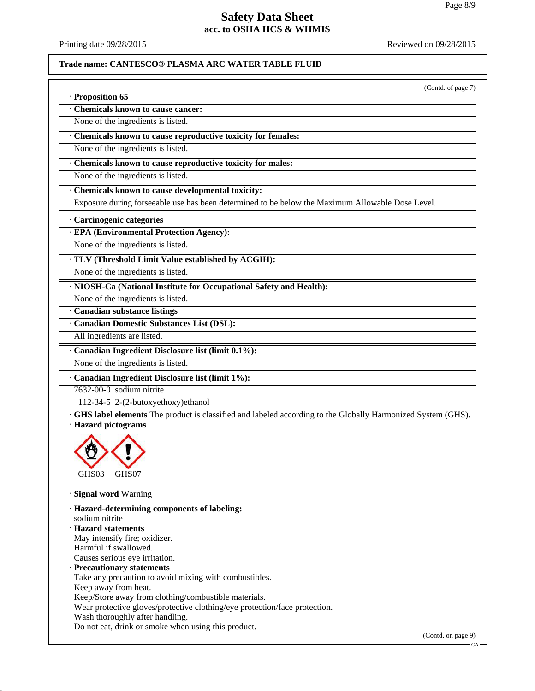Printing date 09/28/2015 **Reviewed on 09/28/2015** Reviewed on 09/28/2015

#### **Trade name: CANTESCO® PLASMA ARC WATER TABLE FLUID**

(Contd. of page 7)

· **Proposition 65**

· **Chemicals known to cause cancer:**

None of the ingredients is listed.

· **Chemicals known to cause reproductive toxicity for females:**

None of the ingredients is listed.

· **Chemicals known to cause reproductive toxicity for males:**

None of the ingredients is listed.

· **Chemicals known to cause developmental toxicity:**

Exposure during forseeable use has been determined to be below the Maximum Allowable Dose Level.

#### · **Carcinogenic categories**

· **EPA (Environmental Protection Agency):**

None of the ingredients is listed.

· **TLV (Threshold Limit Value established by ACGIH):**

None of the ingredients is listed.

· **NIOSH-Ca (National Institute for Occupational Safety and Health):**

None of the ingredients is listed.

· **Canadian substance listings**

· **Canadian Domestic Substances List (DSL):**

All ingredients are listed.

· **Canadian Ingredient Disclosure list (limit 0.1%):**

None of the ingredients is listed.

· **Canadian Ingredient Disclosure list (limit 1%):**

7632-00-0 sodium nitrite

112-34-5  $\sqrt{2}$ -(2-butoxyethoxy)ethanol

· **GHS label elements** The product is classified and labeled according to the Globally Harmonized System (GHS). · **Hazard pictograms**



· **Signal word** Warning

· **Hazard-determining components of labeling:** sodium nitrite · **Hazard statements** May intensify fire; oxidizer. Harmful if swallowed.

Causes serious eye irritation.

· **Precautionary statements**

Take any precaution to avoid mixing with combustibles.

Keep away from heat.

Keep/Store away from clothing/combustible materials.

Wear protective gloves/protective clothing/eye protection/face protection.

Wash thoroughly after handling.

Do not eat, drink or smoke when using this product.

CA